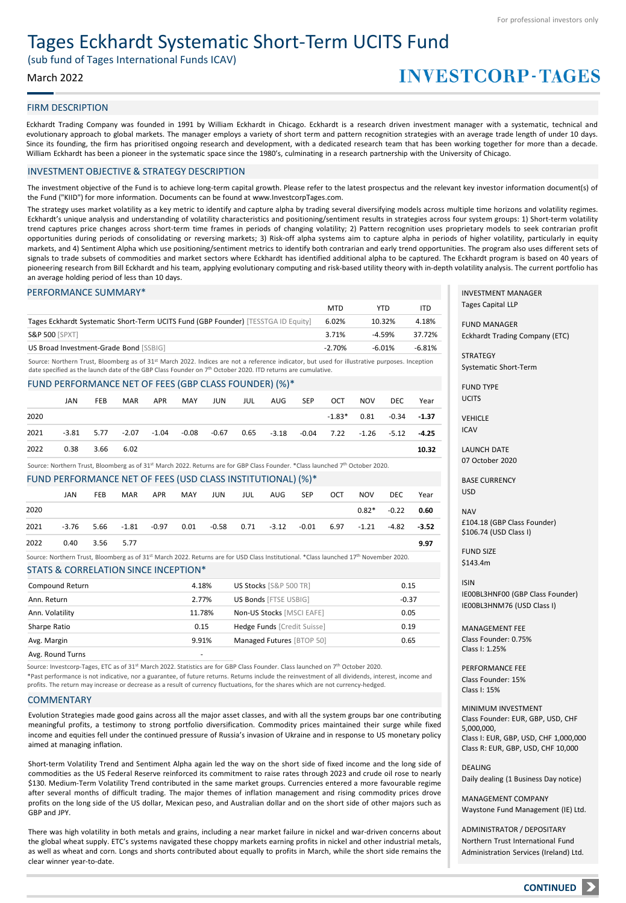# Tages Eckhardt Systematic Short-Term UCITS Fund

(sub fund of Tages International Funds ICAV)

# March 2022

# **INVESTCORP-TAGES**

# FIRM DESCRIPTION

Eckhardt Trading Company was founded in 1991 by William Eckhardt in Chicago. Eckhardt is a research driven investment manager with a systematic, technical and evolutionary approach to global markets. The manager employs a variety of short term and pattern recognition strategies with an average trade length of under 10 days. Since its founding, the firm has prioritised ongoing research and development, with a dedicated research team that has been working together for more than a decade. William Eckhardt has been a pioneer in the systematic space since the 1980's, culminating in a research partnership with the University of Chicago.

### INVESTMENT OBJECTIVE & STRATEGY DESCRIPTION

The investment objective of the Fund is to achieve long-term capital growth. Please refer to the latest prospectus and the relevant key investor information document(s) of the Fund ("KIID") for more information. Documents can be found at www.InvestcorpTages.com.

The strategy uses market volatility as a key metric to identify and capture alpha by trading several diversifying models across multiple time horizons and volatility regimes. Eckhardt's unique analysis and understanding of volatility characteristics and positioning/sentiment results in strategies across four system groups: 1) Short-term volatility trend captures price changes across short-term time frames in periods of changing volatility; 2) Pattern recognition uses proprietary models to seek contrarian profit opportunities during periods of consolidating or reversing markets; 3) Risk-off alpha systems aim to capture alpha in periods of higher volatility, particularly in equity markets, and 4) Sentiment Alpha which use positioning/sentiment metrics to identify both contrarian and early trend opportunities. The program also uses different sets of signals to trade subsets of commodities and market sectors where Eckhardt has identified additional alpha to be captured. The Eckhardt program is based on 40 years of pioneering research from Bill Eckhardt and his team, applying evolutionary computing and risk-based utility theory with in-depth volatility analysis. The current portfolio has an average holding period of less than 10 days.

### PERFORMANCE SUMMARY\*

|                                                                                   | <b>MTD</b> | YTD      | ITD      |
|-----------------------------------------------------------------------------------|------------|----------|----------|
| Tages Eckhardt Systematic Short-Term UCITS Fund (GBP Founder) [TESSTGA ID Equity] | 6.02%      | 10.32%   | 4.18%    |
| <b>S&amp;P 500 [SPXT]</b>                                                         | 3.71%      | $-4.59%$ | 37.72%   |
| US Broad Investment-Grade Bond [SSBIG]                                            | $-2.70%$   | $-6.01%$ | $-6.81%$ |

Source: Northern Trust, Bloomberg as of 31st March 2022. Indices are not a reference indicator, but used for illustrative purposes. Inception date specified as the launch date of the GBP Class Founder on 7 th October 2020. ITD returns are cumulative.

#### FUND PERFORMANCE NET OF FEES (GBP CLASS FOUNDER) (%)\*

|      | JAN          | FEB  | <b>MAR</b> | <b>APR</b>        | MAY | JUN | JUL | AUG          | <b>SEP</b> | OCT                    | <b>NOV</b> | DEC   | Year    |
|------|--------------|------|------------|-------------------|-----|-----|-----|--------------|------------|------------------------|------------|-------|---------|
| 2020 |              |      |            |                   |     |     |     |              |            | $-1.83*$               | 0.81       | -0.34 | $-1.37$ |
| 2021 | $-3.81$ 5.77 |      | -2.07      | -1.04 -0.08 -0.67 |     |     |     | $0.65 -3.18$ |            | -0.04 7.22 -1.26 -5.12 |            |       | $-4.25$ |
| 2022 | 0.38         | 3.66 | 6.02       |                   |     |     |     |              |            |                        |            |       | 10.32   |

Source: Northern Trust, Bloomberg as of 31<sup>st</sup> March 2022. Returns are for GBP Class Founder. \*Class launched 7<sup>th</sup> October 2020.

### FUND PERFORMANCE NET OF FEES (USD CLASS INSTITUTIONAL) (%)\*

|      | JAN  | <b>FEB</b> | <b>MAR</b> | APR | MAY | JUN                                                                                         | JUL | AUG | SEP | OCT | NOV     | DEC.         | Year |
|------|------|------------|------------|-----|-----|---------------------------------------------------------------------------------------------|-----|-----|-----|-----|---------|--------------|------|
| 2020 |      |            |            |     |     |                                                                                             |     |     |     |     | $0.82*$ | $-0.22$ 0.60 |      |
| 2021 |      |            |            |     |     | $-3.76$ 5.66 $-1.81$ $-0.97$ 0.01 $-0.58$ 0.71 $-3.12$ $-0.01$ 6.97 $-1.21$ $-4.82$ $-3.52$ |     |     |     |     |         |              |      |
| 2022 | 0.40 | 3.56 5.77  |            |     |     |                                                                                             |     |     |     |     |         |              | 9.97 |
|      |      |            |            |     |     |                                                                                             |     |     |     |     |         |              |      |

Source: Northern Trust, Bloomberg as of 31st March 2022. Returns are for USD Class Institutional. \*Class launched 17th November 2020.

#### STATS & CORRELATION SINCE INCEPTION\*

| Compound Return  | 4.18%  | US Stocks [S&P 500 TR]      | 0.15    |
|------------------|--------|-----------------------------|---------|
| Ann. Return      | 2.77%  | US Bonds [FTSE USBIG]       | $-0.37$ |
| Ann. Volatility  | 11.78% | Non-US Stocks [MSCI EAFE]   | 0.05    |
| Sharpe Ratio     | 0.15   | Hedge Funds [Credit Suisse] | 0.19    |
| Avg. Margin      | 9.91%  | Managed Futures [BTOP 50]   | 0.65    |
| Avg. Round Turns | ۰      |                             |         |

Source: Investcorp-Tages, ETC as of 31<sup>st</sup> March 2022. Statistics are for GBP Class Founder. Class launched on 7<sup>th</sup> October 2020.

\*Past performance is not indicative, nor a guarantee, of future returns. Returns include the reinvestment of all dividends, interest, income and profits. The return may increase or decrease as a result of currency fluctuations, for the shares which are not currency-hedged.

#### COMMENTARY

Evolution Strategies made good gains across all the major asset classes, and with all the system groups bar one contributing meaningful profits, a testimony to strong portfolio diversification. Commodity prices maintained their surge while fixed income and equities fell under the continued pressure of Russia's invasion of Ukraine and in response to US monetary policy aimed at managing inflation.

Short-term Volatility Trend and Sentiment Alpha again led the way on the short side of fixed income and the long side of commodities as the US Federal Reserve reinforced its commitment to raise rates through 2023 and crude oil rose to nearly \$130. Medium-Term Volatility Trend contributed in the same market groups. Currencies entered a more favourable regime after several months of difficult trading. The major themes of inflation management and rising commodity prices drove profits on the long side of the US dollar, Mexican peso, and Australian dollar and on the short side of other majors such as GBP and JPY.

There was high volatility in both metals and grains, including a near market failure in nickel and war-driven concerns about the global wheat supply. ETC's systems navigated these choppy markets earning profits in nickel and other industrial metals, as well as wheat and corn. Longs and shorts contributed about equally to profits in March, while the short side remains the clear winner year-to-date.

INVESTMENT MANAGER Tages Capital LLP

FUND MANAGER Eckhardt Trading Company (ETC)

STRATEGY Systematic Short-Term

FUND TYPE UCITS

VEHICLE

ICAV

LAUNCH DATE 07 October 2020

BASE CURRENCY USD

NAV £104.18 (GBP Class Founder) \$106.74 (USD Class I)

FUND SIZE \$143.4m

ISIN IE00BL3HNF00 (GBP Class Founder) IE00BL3HNM76 (USD Class I)

MANAGEMENT FEE Class Founder: 0.75% Class I: 1.25%

PERFORMANCE FEE Class Founder: 15% Class I: 15%

MINIMUM INVESTMENT Class Founder: EUR, GBP, USD, CHF 5,000,000, Class I: EUR, GBP, USD, CHF 1,000,000 Class R: EUR, GBP, USD, CHF 10,000

DEALING Daily dealing (1 Business Day notice)

MANAGEMENT COMPANY Waystone Fund Management (IE) Ltd.

ADMINISTRATOR / DEPOSITARY Northern Trust International Fund Administration Services (Ireland) Ltd.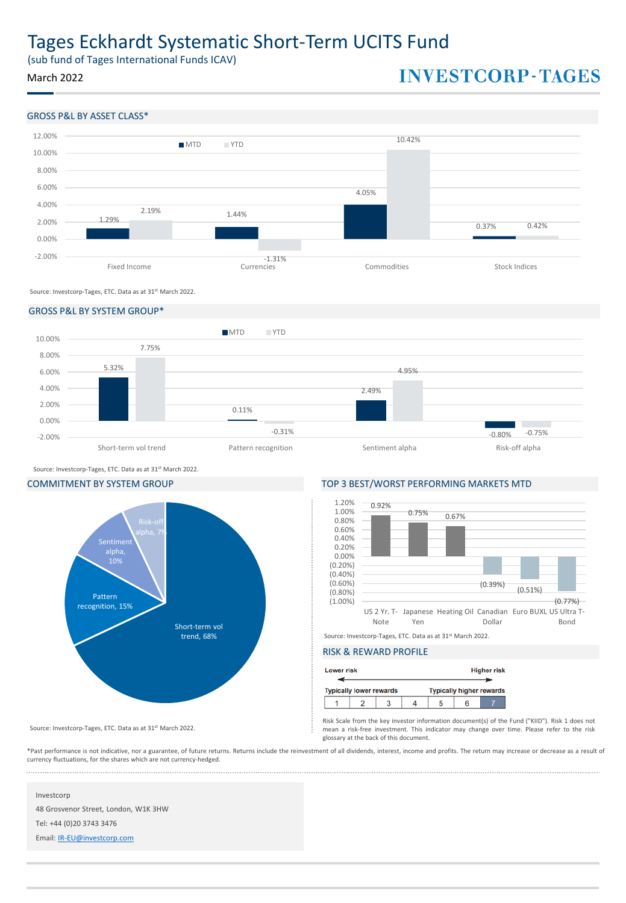# Tages Eckhardt Systematic Short-Term UCITS Fund

(sub fund of Tages International Funds ICAV)

March 2022

# **INVESTCORP-TAGES**

# GROSS P&L BY ASSET CLASS\*



Source: Investcorp-Tages, ETC. Data as at 31st March 2022.

### GROSS P&L BY SYSTEM GROUP\*



Source: Investcorp-Tages, ETC. Data as at 31st March 2022.



# COMMITMENT BY SYSTEM GROUP TOP 3 BEST/WORST PERFORMING MARKETS MTD



# RISK & REWARD PROFILE

|                                | <b>Lower risk</b> |  |  |  | <b>Higher risk</b> |                                 |  |  |
|--------------------------------|-------------------|--|--|--|--------------------|---------------------------------|--|--|
| <b>Typically lower rewards</b> |                   |  |  |  |                    | <b>Typically higher rewards</b> |  |  |
|                                |                   |  |  |  |                    |                                 |  |  |

Risk Scale from the key investor information document(s) of the Fund ("KIID"). Risk 1 does not mean a risk-free investment. This indicator may change over time. Please refer to the risk glossary at the back of this document.

\*Past performance is not indicative, nor a guarantee, of future returns. Returns include the reinvestment of all dividends, interest, income and profits. The return may increase or decrease as a result of currency fluctuations, for the shares which are not currency-hedged. 

# Investcorp

48 Grosvenor Street, London, W1K 3HW

Source: Investcorp-Tages, ETC. Data as at 31st March 2022.

Tel: +44 (0)20 3743 3476

Email: [IR-EU@investcorp.com](mailto:IR-EU@investcorp.com)